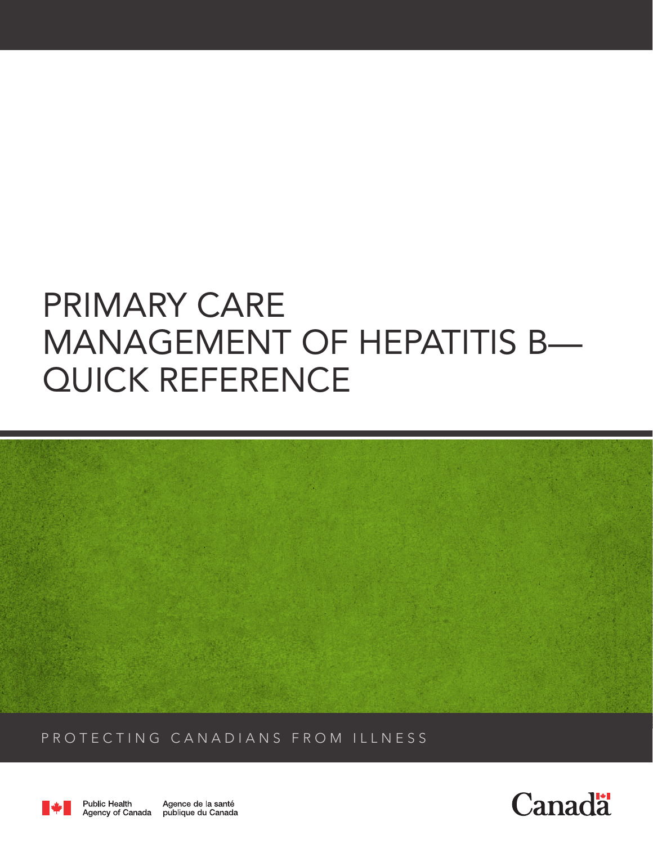# PRIMARY CARE MANAGEMENT OF HEPATITIS B— QUICK REFERENCE



PROTECTING CANADIANS FROM ILLNESS



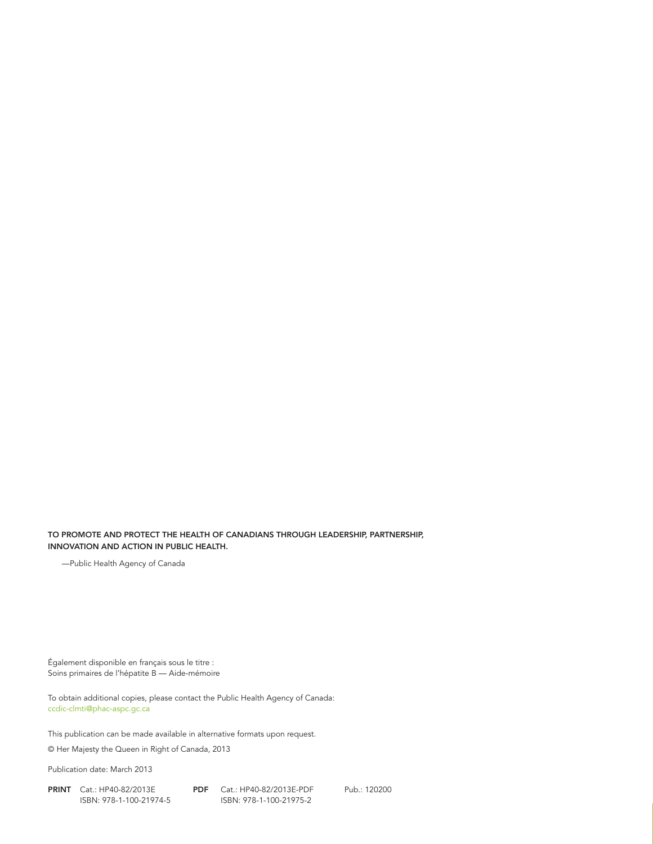#### TO PROMOTE AND PROTECT THE HEALTH OF CANADIANS THROUGH LEADERSHIP, PARTNERSHIP, INNOVATION AND ACTION IN PUBLIC HEALTH.

—Public Health Agency of Canada

Également disponible en français sous le titre : Soins primaires de l'hépatite B — Aide-mémoire

To obtain additional copies, please contact the Public Health Agency of Canada: ccdic-clmti@phac-aspc.gc.ca

This publication can be made available in alternative formats upon request.

© Her Majesty the Queen in Right of Canada, 2013

Publication date: March 2013

PRINT Cat.: HP40-82/2013E PDF Cat.: HP40-82/2013E-PDF Pub.: 120200 ISBN: 978-1-100-21974-5 ISBN: 978-1-100-21975-2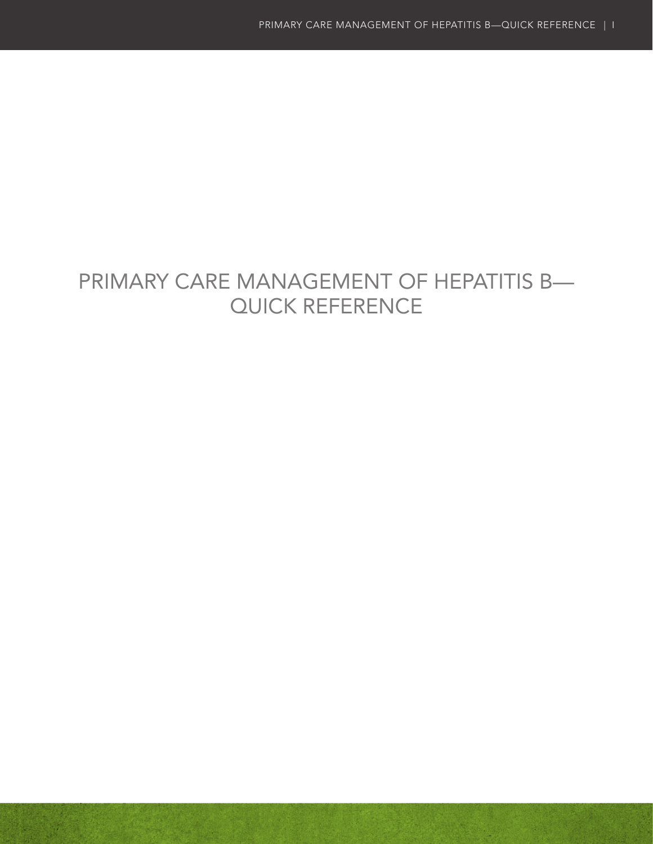# PRIMARY CARE MANAGEMENT OF HEPATITIS B— QUICK REFERENCE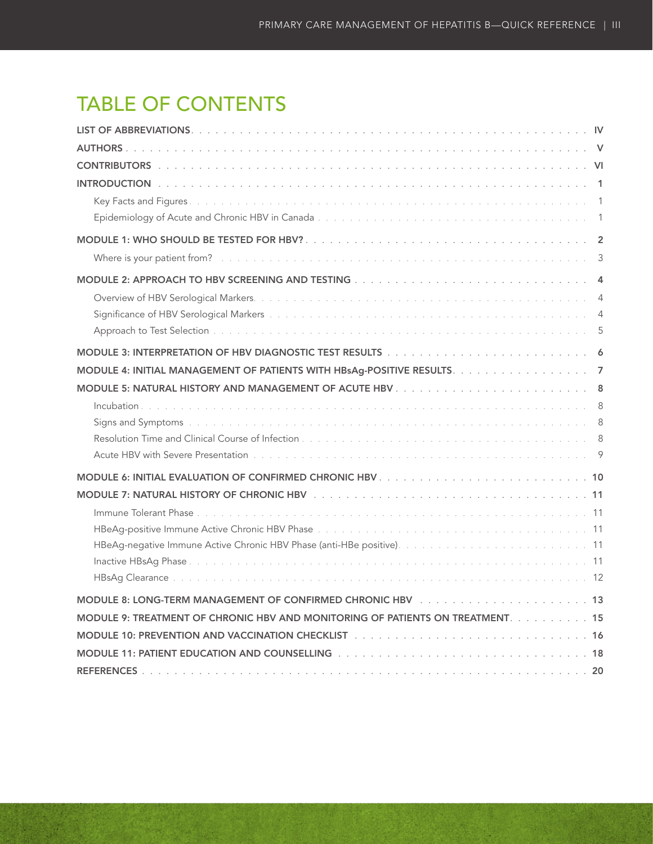# TABLE OF CONTENTS

|                                                                                                       | $\overline{4}$ |
|-------------------------------------------------------------------------------------------------------|----------------|
|                                                                                                       | $\overline{4}$ |
|                                                                                                       | 5              |
|                                                                                                       |                |
| MODULE 4: INITIAL MANAGEMENT OF PATIENTS WITH HBsAg-POSITIVE RESULTS. 7                               |                |
|                                                                                                       |                |
|                                                                                                       |                |
|                                                                                                       |                |
|                                                                                                       |                |
|                                                                                                       |                |
|                                                                                                       |                |
|                                                                                                       |                |
|                                                                                                       |                |
|                                                                                                       |                |
|                                                                                                       |                |
|                                                                                                       |                |
|                                                                                                       |                |
| MODULE 8: LONG-TERM MANAGEMENT OF CONFIRMED CHRONIC HBV<br>13                                         |                |
| MODULE 9: TREATMENT OF CHRONIC HBV AND MONITORING OF PATIENTS ON TREATMENT. 15                        |                |
| MODULE 10: PREVENTION AND VACCINATION CHECKLIST (and an array array array array array array array arr |                |
|                                                                                                       |                |
|                                                                                                       |                |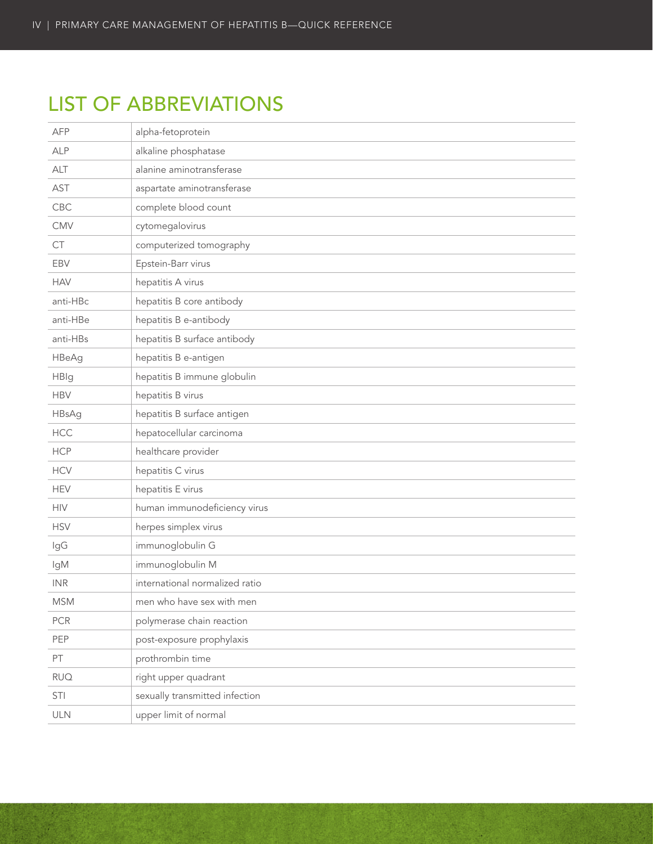# <span id="page-5-0"></span>LIST OF ABBREVIATIONS

| <b>AFP</b>   | alpha-fetoprotein              |
|--------------|--------------------------------|
| <b>ALP</b>   | alkaline phosphatase           |
| <b>ALT</b>   | alanine aminotransferase       |
| AST          | aspartate aminotransferase     |
| <b>CBC</b>   | complete blood count           |
| CMV          | cytomegalovirus                |
| CT           | computerized tomography        |
| EBV          | Epstein-Barr virus             |
| <b>HAV</b>   | hepatitis A virus              |
| anti-HBc     | hepatitis B core antibody      |
| anti-HBe     | hepatitis B e-antibody         |
| anti-HBs     | hepatitis B surface antibody   |
| <b>HBeAg</b> | hepatitis B e-antigen          |
| <b>HBIg</b>  | hepatitis B immune globulin    |
| <b>HBV</b>   | hepatitis B virus              |
| <b>HBsAg</b> | hepatitis B surface antigen    |
| HCC          | hepatocellular carcinoma       |
| <b>HCP</b>   | healthcare provider            |
| <b>HCV</b>   | hepatitis C virus              |
| <b>HEV</b>   | hepatitis E virus              |
| <b>HIV</b>   | human immunodeficiency virus   |
| <b>HSV</b>   | herpes simplex virus           |
| IgG          | immunoglobulin G               |
| lgM          | immunoglobulin M               |
| <b>INR</b>   | international normalized ratio |
| <b>MSM</b>   | men who have sex with men      |
| <b>PCR</b>   | polymerase chain reaction      |
| PEP          | post-exposure prophylaxis      |
| PT           | prothrombin time               |
| <b>RUQ</b>   | right upper quadrant           |
| STI          | sexually transmitted infection |
| ULN          | upper limit of normal          |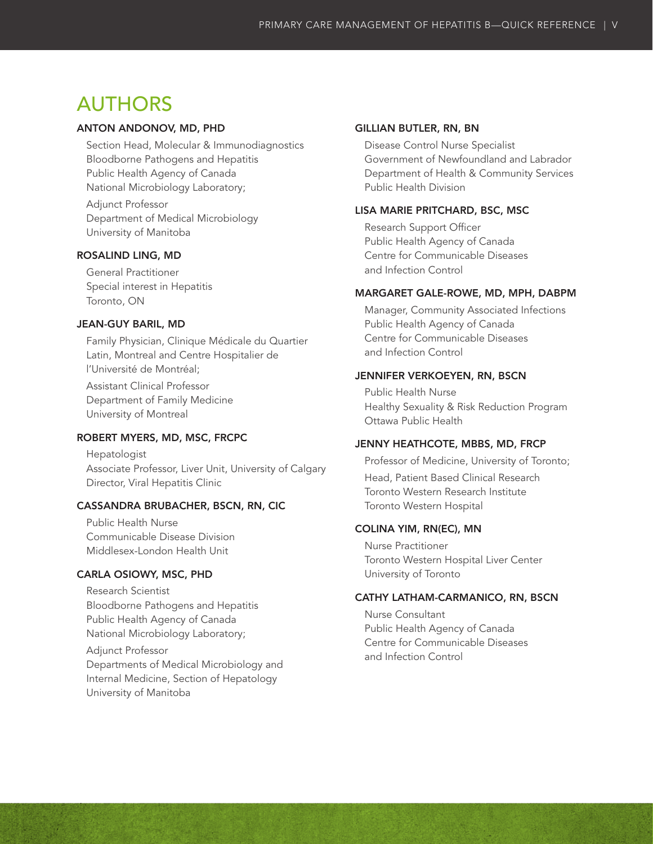## <span id="page-6-0"></span>AUTHORS

### ANTON ANDONOV, MD, PHD

Section Head, Molecular & Immunodiagnostics Bloodborne Pathogens and Hepatitis Public Health Agency of Canada National Microbiology Laboratory; Adjunct Professor

Department of Medical Microbiology University of Manitoba

### ROSALIND LING, MD

General Practitioner Special interest in Hepatitis Toronto, ON

### JEAN-GUY BARIL, MD

Family Physician, Clinique Médicale du Quartier Latin, Montreal and Centre Hospitalier de l'Université de Montréal;

Assistant Clinical Professor Department of Family Medicine University of Montreal

### ROBERT MYERS, MD, MSC, FRCPC

Hepatologist Associate Professor, Liver Unit, University of Calgary Director, Viral Hepatitis Clinic

### CASSANDRA BRUBACHER, BSCN, RN, CIC

Public Health Nurse Communicable Disease Division Middlesex-London Health Unit

### CARLA OSIOWY, MSC, PHD

Research Scientist Bloodborne Pathogens and Hepatitis Public Health Agency of Canada National Microbiology Laboratory;

Adjunct Professor Departments of Medical Microbiology and Internal Medicine, Section of Hepatology University of Manitoba

### GILLIAN BUTLER, RN, BN

Disease Control Nurse Specialist Government of Newfoundland and Labrador Department of Health & Community Services Public Health Division

### LISA MARIE PRITCHARD, BSC, MSC

Research Support Officer Public Health Agency of Canada Centre for Communicable Diseases and Infection Control

#### MARGARET GALE-ROWE, MD, MPH, DABPM

Manager, Community Associated Infections Public Health Agency of Canada Centre for Communicable Diseases and Infection Control

### JENNIFER VERKOEYEN, RN, BSCN

Public Health Nurse Healthy Sexuality & Risk Reduction Program Ottawa Public Health

### JENNY HEATHCOTE, MBBS, MD, FRCP

Professor of Medicine, University of Toronto; Head, Patient Based Clinical Research Toronto Western Research Institute Toronto Western Hospital

### COLINA YIM, RN(EC), MN

Nurse Practitioner Toronto Western Hospital Liver Center University of Toronto

### CATHY LATHAM-CARMANICO, RN, BSCN

Nurse Consultant Public Health Agency of Canada Centre for Communicable Diseases and Infection Control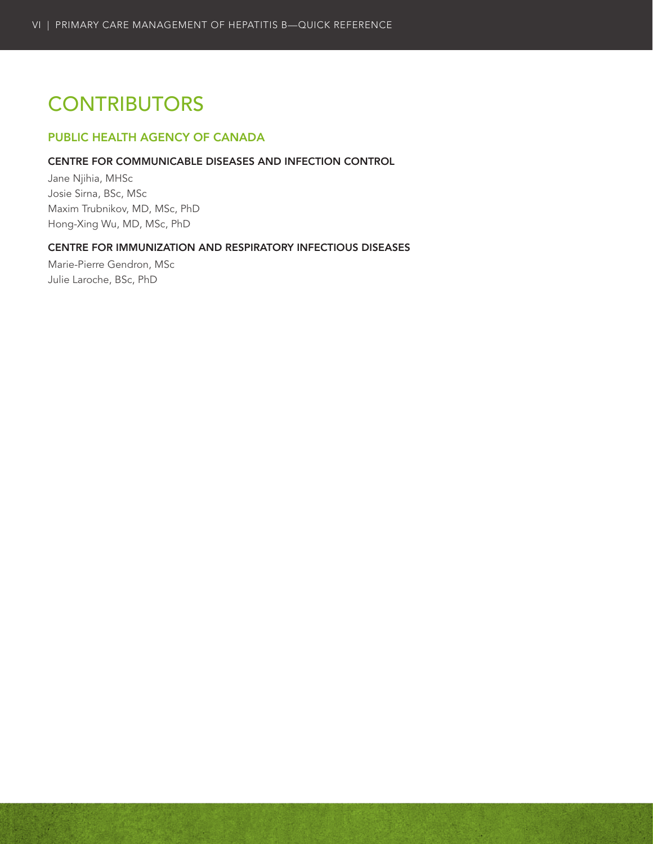# <span id="page-7-0"></span>**CONTRIBUTORS**

### PUBLIC HEALTH AGENCY OF CANADA

### CENTRE FOR COMMUNICABLE DISEASES AND INFECTION CONTROL

Jane Njihia, MHSc Josie Sirna, BSc, MSc Maxim Trubnikov, MD, MSc, PhD Hong-Xing Wu, MD, MSc, PhD

### CENTRE FOR IMMUNIZATION AND RESPIRATORY INFECTIOUS DISEASES

Marie-Pierre Gendron, MSc Julie Laroche, BSc, PhD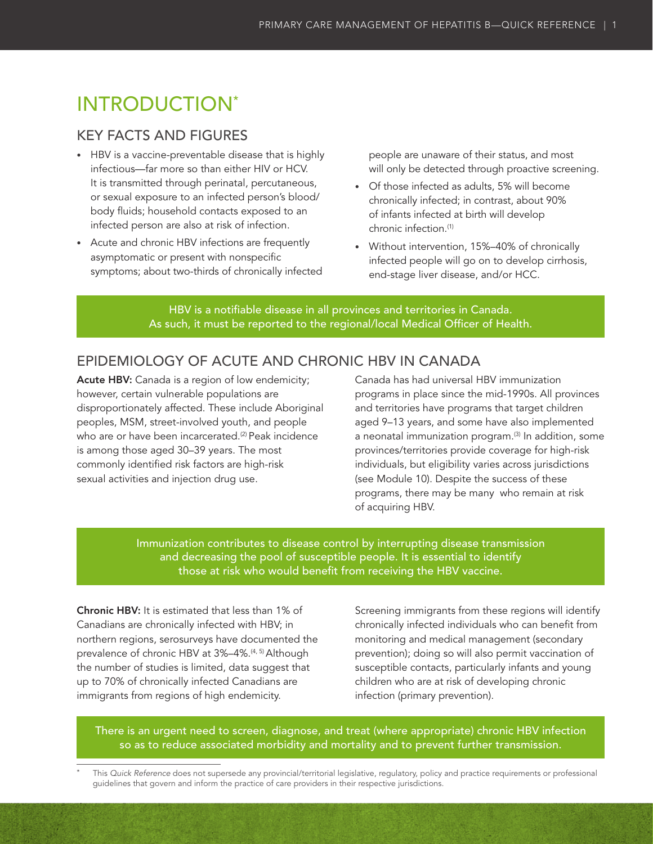# <span id="page-8-0"></span>INTRODUCTION\*

### KEY FACTS AND FIGURES

- HBV is a vaccine-preventable disease that is highly infectious—far more so than either HIV or HCV. It is transmitted through perinatal, percutaneous, or sexual exposure to an infected person's blood/ body fluids; household contacts exposed to an infected person are also at risk of infection.
- • Acute and chronic HBV infections are frequently asymptomatic or present with nonspecific symptoms; about two-thirds of chronically infected

people are unaware of their status, and most will only be detected through proactive screening.

- • Of those infected as adults, 5% will become chronically infected; in contrast, about 90% of infants infected at birth will develop chronic infection.(1)
- • Without intervention, 15%–40% of chronically infected people will go on to develop cirrhosis, end-stage liver disease, and/or HCC.

HBV is a notifiable disease in all provinces and territories in Canada. As such, it must be reported to the regional/local Medical Officer of Health.

### EPIDEMIOLOGY OF ACUTE AND CHRONIC HBV IN CANADA

Acute HBV: Canada is a region of low endemicity; however, certain vulnerable populations are disproportionately affected. These include Aboriginal peoples, MSM, street-involved youth, and people who are or have been incarcerated.<sup>(2)</sup> Peak incidence is among those aged 30–39 years. The most commonly identified risk factors are high-risk sexual activities and injection drug use.

Canada has had universal HBV immunization programs in place since the mid-1990s. All provinces and territories have programs that target children aged 9–13 years, and some have also implemented a neonatal immunization program.<sup>(3)</sup> In addition, some provinces/territories provide coverage for high-risk individuals, but eligibility varies across jurisdictions (see Module 10). Despite the success of these programs, there may be many who remain at risk of acquiring HBV.

Immunization contributes to disease control by interrupting disease transmission and decreasing the pool of susceptible people. It is essential to identify those at risk who would benefit from receiving the HBV vaccine.

Chronic HBV: It is estimated that less than 1% of Canadians are chronically infected with HBV; in northern regions, serosurveys have documented the prevalence of chronic HBV at 3%-4%.<sup>(4, 5)</sup> Although the number of studies is limited, data suggest that up to 70% of chronically infected Canadians are immigrants from regions of high endemicity.

Screening immigrants from these regions will identify chronically infected individuals who can benefit from monitoring and medical management (secondary prevention); doing so will also permit vaccination of susceptible contacts, particularly infants and young children who are at risk of developing chronic infection (primary prevention).

There is an urgent need to screen, diagnose, and treat (where appropriate) chronic HBV infection so as to reduce associated morbidity and mortality and to prevent further transmission.

This Quick Reference does not supersede any provincial/territorial legislative, regulatory, policy and practice requirements or professional guidelines that govern and inform the practice of care providers in their respective jurisdictions.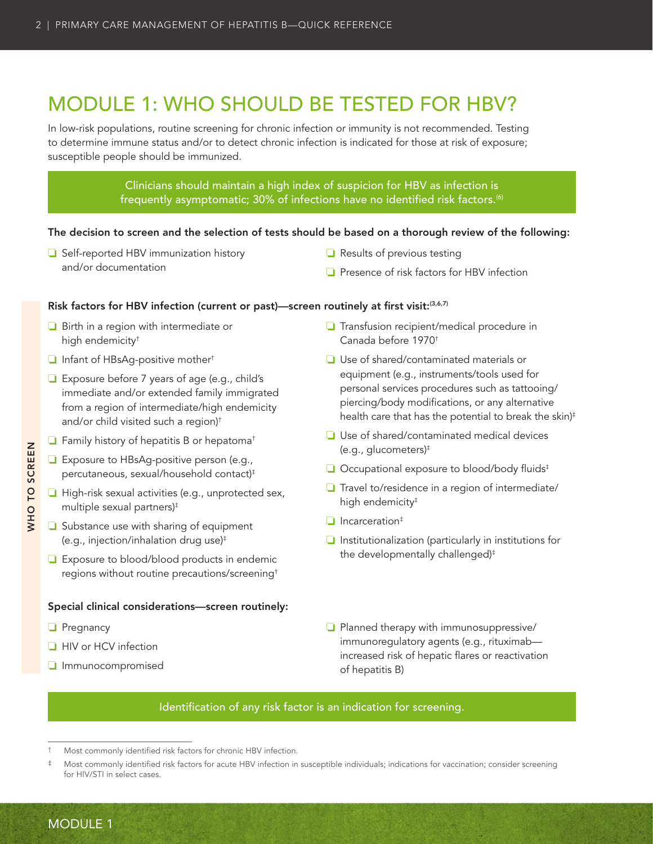# <span id="page-9-0"></span>MODULE 1: WHO SHOULD BE TESTED FOR HBV?

In low-risk populations, routine screening for chronic infection or immunity is not recommended. Testing to determine immune status and/or to detect chronic infection is indicated for those at risk of exposure; susceptible people should be immunized.

### Clinicians should maintain a high index of suspicion for HBV as infection is frequently asymptomatic; 30% of infections have no identified risk factors.<sup>(6)</sup>

### The decision to screen and the selection of tests should be based on a thorough review of the following:

- ❏ Self-reported HBV immunization history and/or documentation
- ❏ Results of previous testing
- ❏ Presence of risk factors for HBV infection

### Risk factors for HBV infection (current or past)—screen routinely at first visit:(3,6,7)

- ❏ Birth in a region with intermediate or high endemicity†
- ❏ Infant of HBsAg-positive mother†
- ❏ Exposure before 7 years of age (e.g., child's immediate and/or extended family immigrated from a region of intermediate/high endemicity and/or child visited such a region)†
- ❏ Family history of hepatitis B or hepatoma†
- ❏ Exposure to HBsAg-positive person (e.g., percutaneous, sexual/household contact)‡
- ❏ High-risk sexual activities (e.g., unprotected sex, multiple sexual partners)‡
- ❏ Substance use with sharing of equipment (e.g., injection/inhalation drug use)‡
- ❏ Exposure to blood/blood products in endemic regions without routine precautions/screening†

#### Special clinical considerations—screen routinely:

- ❏ Pregnancy
- ❏ HIV or HCV infection
- ❏ Immunocompromised
- ❏ Transfusion recipient/medical procedure in Canada before 1970†
- ❏ Use of shared/contaminated materials or equipment (e.g., instruments/tools used for personal services procedures such as tattooing/ piercing/body modifications, or any alternative health care that has the potential to break the skin)<sup>‡</sup>
- ❏ Use of shared/contaminated medical devices (e.g., glucometers)‡
- ❏ Occupational exposure to blood/body fluids‡
- ❏ Travel to/residence in a region of intermediate/ high endemicity<sup>#</sup>
- ❏ Incarceration‡
- ❏ Institutionalization (particularly in institutions for the developmentally challenged)‡
- ❏ Planned therapy with immunosuppressive/ immunoregulatory agents (e.g., rituximab increased risk of hepatic flares or reactivation of hepatitis B)

### Identification of any risk factor is an indication for screening.

Most commonly identified risk factors for chronic HBV infection.

Most commonly identified risk factors for acute HBV infection in susceptible individuals; indications for vaccination; consider screening for HIV/STI in select cases.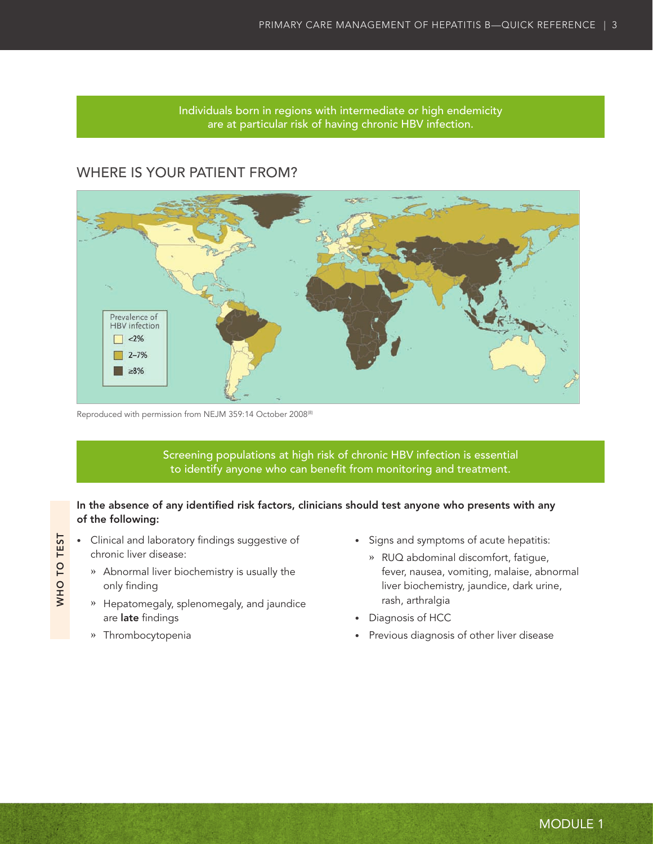Individuals born in regions with intermediate or high endemicity are at particular risk of having chronic HBV infection.

### <span id="page-10-0"></span>WHERE IS YOUR PATIENT FROM?



Reproduced with permission from NEJM 359:14 October 2008<sup>(8)</sup>

Screening populations at high risk of chronic HBV infection is essential to identify anyone who can benefit from monitoring and treatment.

### In the absence of any identified risk factors, clinicians should test anyone who presents with any of the following:

- • Clinical and laboratory findings suggestive of chronic liver disease:
	- **»** Abnormal liver biochemistry is usually the only finding
	- **»** Hepatomegaly, splenomegaly, and jaundice are late findings
	- **»** Thrombocytopenia

WHO TO TEST

WHO TO TEST

- • Signs and symptoms of acute hepatitis:
	- **»** RUQ abdominal discomfort, fatigue, fever, nausea, vomiting, malaise, abnormal liver biochemistry, jaundice, dark urine, rash, arthralgia
- • Diagnosis of HCC
- Previous diagnosis of other liver disease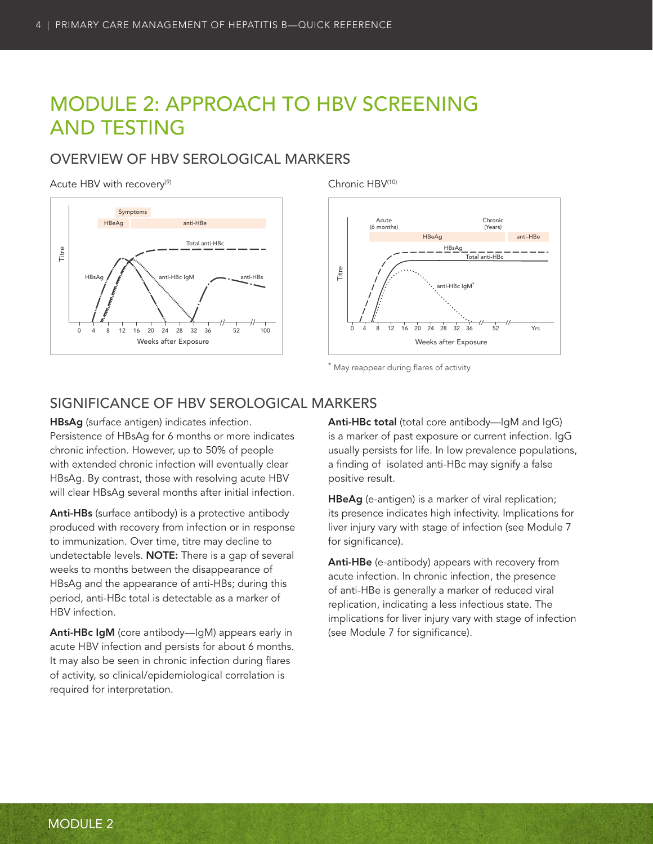# <span id="page-11-0"></span>MODULE 2: APPROACH TO HBV SCREENING AND TESTING

### OVERVIEW OF HBV SEROLOGICAL MARKERS

#### Acute HBV with recovery<sup>(9)</sup>



Chronic HBV(10)



\* May reappear during flares of activity

### SIGNIFICANCE OF HBV SEROLOGICAL MARKERS

HBsAg (surface antigen) indicates infection. Persistence of HBsAg for 6 months or more indicates chronic infection. However, up to 50% of people with extended chronic infection will eventually clear HBsAg. By contrast, those with resolving acute HBV will clear HBsAg several months after initial infection.

Anti-HBs (surface antibody) is a protective antibody produced with recovery from infection or in response to immunization. Over time, titre may decline to undetectable levels. NOTE: There is a gap of several weeks to months between the disappearance of HBsAg and the appearance of anti-HBs; during this period, anti-HBc total is detectable as a marker of HBV infection.

Anti-HBc IgM (core antibody—IgM) appears early in acute HBV infection and persists for about 6 months. It may also be seen in chronic infection during flares of activity, so clinical/epidemiological correlation is required for interpretation.

Anti-HBc total (total core antibody—IgM and IgG) is a marker of past exposure or current infection. IgG usually persists for life. In low prevalence populations, a finding of isolated anti-HBc may signify a false positive result.

HBeAg (e-antigen) is a marker of viral replication; its presence indicates high infectivity. Implications for liver injury vary with stage of infection (see Module 7 for significance).

Anti-HBe (e-antibody) appears with recovery from acute infection. In chronic infection, the presence of anti-HBe is generally a marker of reduced viral replication, indicating a less infectious state. The implications for liver injury vary with stage of infection (see Module 7 for significance).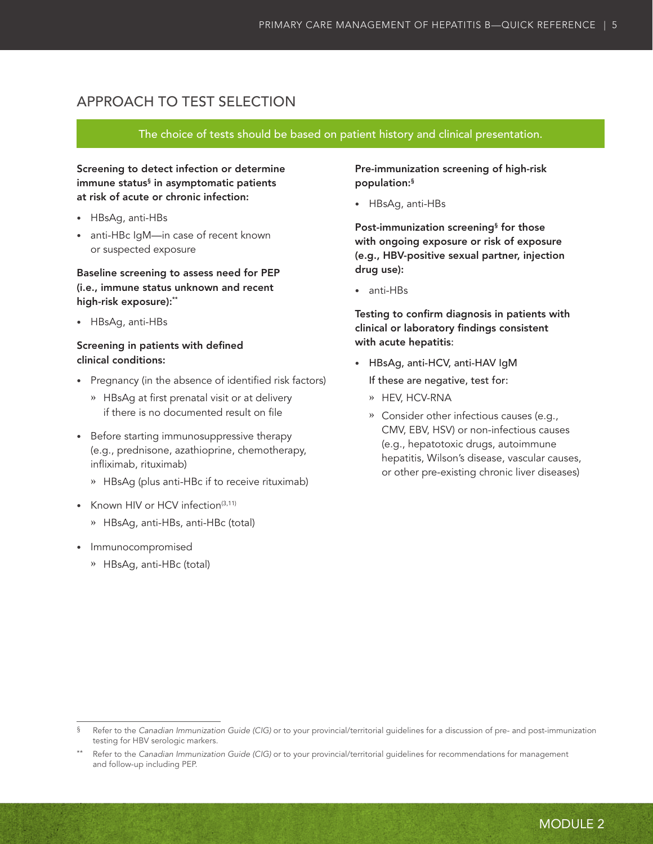### <span id="page-12-0"></span>APPROACH TO TEST SELECTION

### The choice of tests should be based on patient history and clinical presentation.

Screening to detect infection or determine immune status§ in asymptomatic patients at risk of acute or chronic infection:

- • HBsAg, anti-HBs
- anti-HBc IqM—in case of recent known or suspected exposure

Baseline screening to assess need for PEP (i.e., immune status unknown and recent high-risk exposure):\*\*

• HBsAg, anti-HBs

### Screening in patients with defined clinical conditions:

- • Pregnancy (in the absence of identified risk factors)
	- **»** HBsAg at first prenatal visit or at delivery if there is no documented result on file
- • Before starting immunosuppressive therapy (e.g., prednisone, azathioprine, chemotherapy, infliximab, rituximab)
	- **»** HBsAg (plus anti-HBc if to receive rituximab)
- Known HIV or HCV infection<sup>(3,11)</sup>
	- **»** HBsAg, anti-HBs, anti-HBc (total)
- • Immunocompromised
	- **»** HBsAg, anti-HBc (total)

Pre-immunization screening of high-risk population:§

• HBsAg, anti-HBs

Post-immunization screening§ for those with ongoing exposure or risk of exposure (e.g., HBV-positive sexual partner, injection drug use):

• anti-HBs

Testing to confirm diagnosis in patients with clinical or laboratory findings consistent with acute hepatitis:

• HBsAg, anti-HCV, anti-HAV IgM

If these are negative, test for:

- **»** HEV, HCV-RNA
- **»** Consider other infectious causes (e.g., CMV, EBV, HSV) or non-infectious causes (e.g., hepatotoxic drugs, autoimmune hepatitis, Wilson's disease, vascular causes, or other pre-existing chronic liver diseases)

<sup>§</sup> Refer to the *Canadian Immunization Guide (CIG)* or to your provincial/territorial guidelines for a discussion of pre- and post-immunization testing for HBV serologic markers.

Refer to the *Canadian Immunization Guide (CIG)* or to your provincial/territorial guidelines for recommendations for management and follow-up including PEP.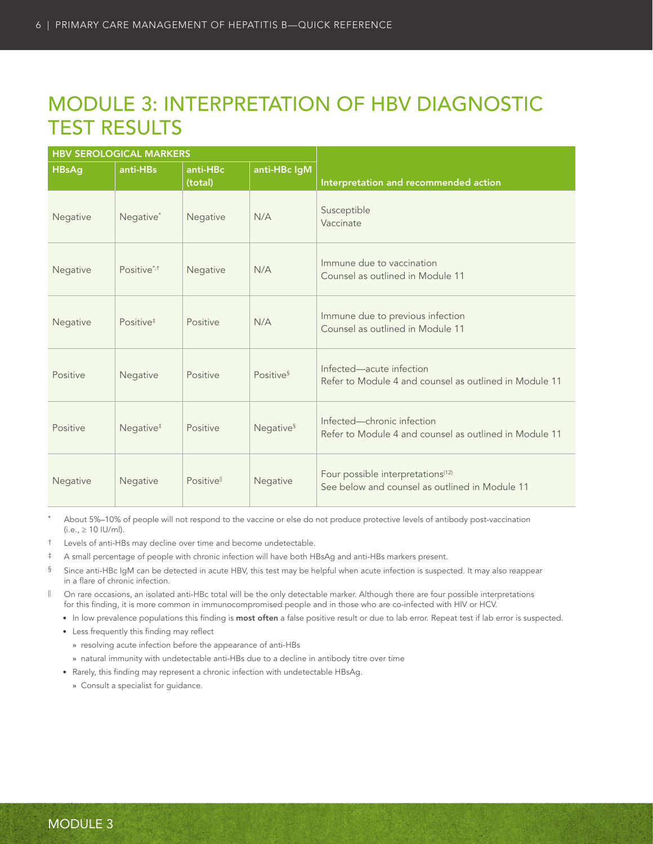# <span id="page-13-0"></span>MODULE 3: INTERPRETATION OF HBV DIAGNOSTIC TEST RESULTS

|              | <b>HBV SEROLOGICAL MARKERS</b> |                     |                       |                                                                                                 |
|--------------|--------------------------------|---------------------|-----------------------|-------------------------------------------------------------------------------------------------|
| <b>HBsAg</b> | anti-HBs                       | anti-HBc<br>(total) | anti-HBc IgM          | Interpretation and recommended action                                                           |
| Negative     | Negative <sup>*</sup>          | Negative            | N/A                   | Susceptible<br>Vaccinate                                                                        |
| Negative     | Positive* <sup>+</sup>         | Negative            | N/A                   | Immune due to vaccination<br>Counsel as outlined in Module 11                                   |
| Negative     | Positive <sup>#</sup>          | Positive            | N/A                   | Immune due to previous infection<br>Counsel as outlined in Module 11                            |
| Positive     | Negative                       | Positive            | Positive <sup>§</sup> | Infected-acute infection<br>Refer to Module 4 and counsel as outlined in Module 11              |
| Positive     | Negative <sup>#</sup>          | Positive            | Negative <sup>§</sup> | Infected-chronic infection<br>Refer to Module 4 and counsel as outlined in Module 11            |
| Negative     | Negative                       | Positivell          | Negative              | Four possible interpretations <sup>(12)</sup><br>See below and counsel as outlined in Module 11 |

About 5%-10% of people will not respond to the vaccine or else do not produce protective levels of antibody post-vaccination  $(i.e., ≥ 10$  IU/ml).

† Levels of anti-HBs may decline over time and become undetectable.

‡ A small percentage of people with chronic infection will have both HBsAg and anti-HBs markers present.

- § Since anti-HBc IgM can be detected in acute HBV, this test may be helpful when acute infection is suspected. It may also reappear in a flare of chronic infection.
- || On rare occasions, an isolated anti-HBc total will be the only detectable marker. Although there are four possible interpretations for this finding, it is more common in immunocompromised people and in those who are co-infected with HIV or HCV.
	- In low prevalence populations this finding is most often a false positive result or due to lab error. Repeat test if lab error is suspected.
	- Less frequently this finding may reflect
		- **»** resolving acute infection before the appearance of anti-HBs
		- **»** natural immunity with undetectable anti-HBs due to a decline in antibody titre over time
	- Rarely, this finding may represent a chronic infection with undetectable HBsAg.
		- **»** Consult a specialist for guidance.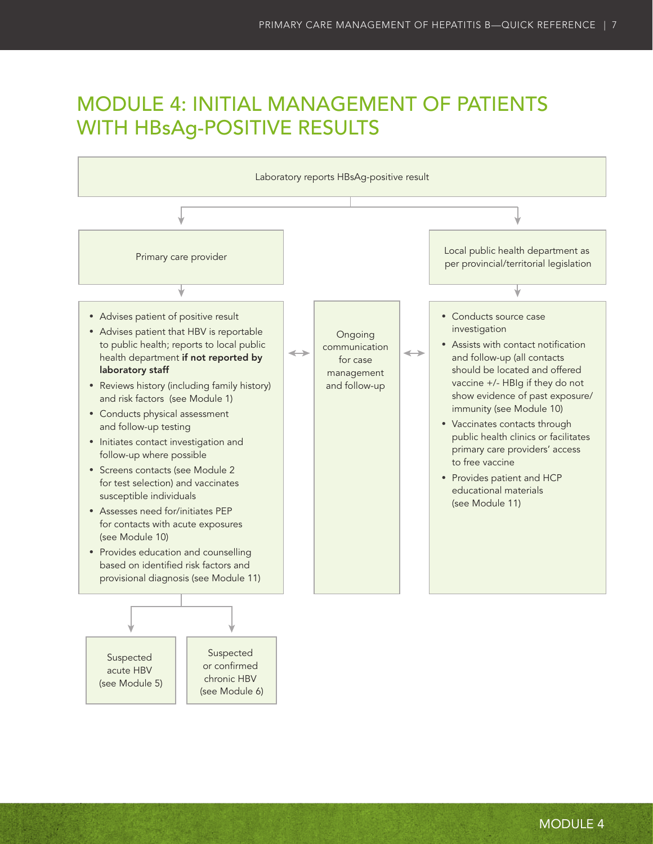# <span id="page-14-0"></span>MODULE 4: INITIAL MANAGEMENT OF PATIENTS WITH HBsAg-POSITIVE RESULTS

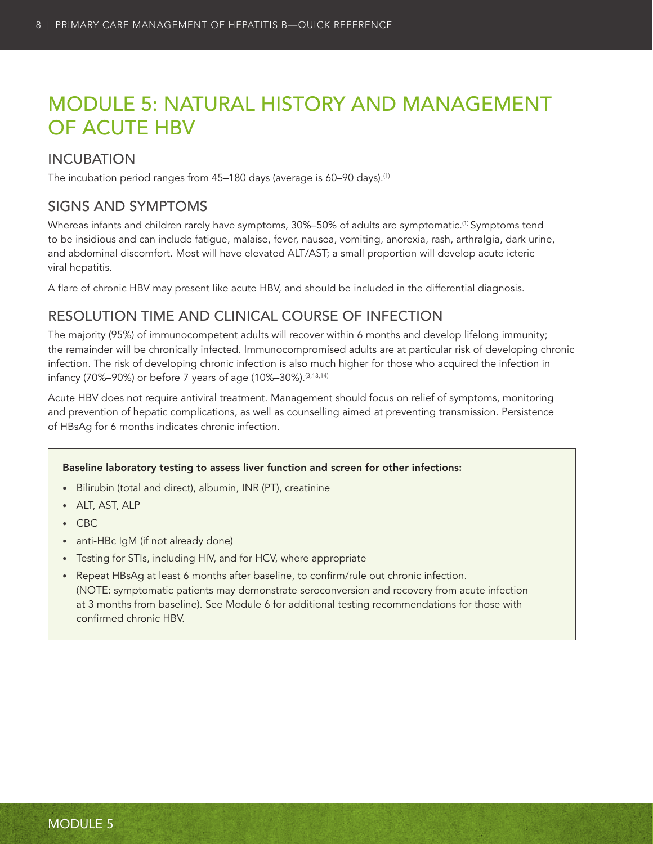# <span id="page-15-0"></span>MODULE 5: NATURAL HISTORY AND MANAGEMENT OF ACUTE HBV

### INCUBATION

The incubation period ranges from 45-180 days (average is 60-90 days).<sup>(1)</sup>

### SIGNS AND SYMPTOMS

Whereas infants and children rarely have symptoms, 30%–50% of adults are symptomatic.<sup>(1)</sup> Symptoms tend to be insidious and can include fatigue, malaise, fever, nausea, vomiting, anorexia, rash, arthralgia, dark urine, and abdominal discomfort. Most will have elevated ALT/AST; a small proportion will develop acute icteric viral hepatitis.

A flare of chronic HBV may present like acute HBV, and should be included in the differential diagnosis.

### RESOLUTION TIME AND CLINICAL COURSE OF INFECTION

The majority (95%) of immunocompetent adults will recover within 6 months and develop lifelong immunity; the remainder will be chronically infected. Immunocompromised adults are at particular risk of developing chronic infection. The risk of developing chronic infection is also much higher for those who acquired the infection in infancy (70%-90%) or before 7 years of age (10%-30%).<sup>(3,13,14)</sup>

Acute HBV does not require antiviral treatment. Management should focus on relief of symptoms, monitoring and prevention of hepatic complications, as well as counselling aimed at preventing transmission. Persistence of HBsAg for 6 months indicates chronic infection.

### Baseline laboratory testing to assess liver function and screen for other infections:

- • Bilirubin (total and direct), albumin, INR (PT), creatinine
- • ALT, AST, ALP
- • CBC
- anti-HBc IgM (if not already done)
- Testing for STIs, including HIV, and for HCV, where appropriate
- Repeat HBsAg at least 6 months after baseline, to confirm/rule out chronic infection. (NOTE: symptomatic patients may demonstrate seroconversion and recovery from acute infection at 3 months from baseline). See Module 6 for additional testing recommendations for those with confirmed chronic HBV.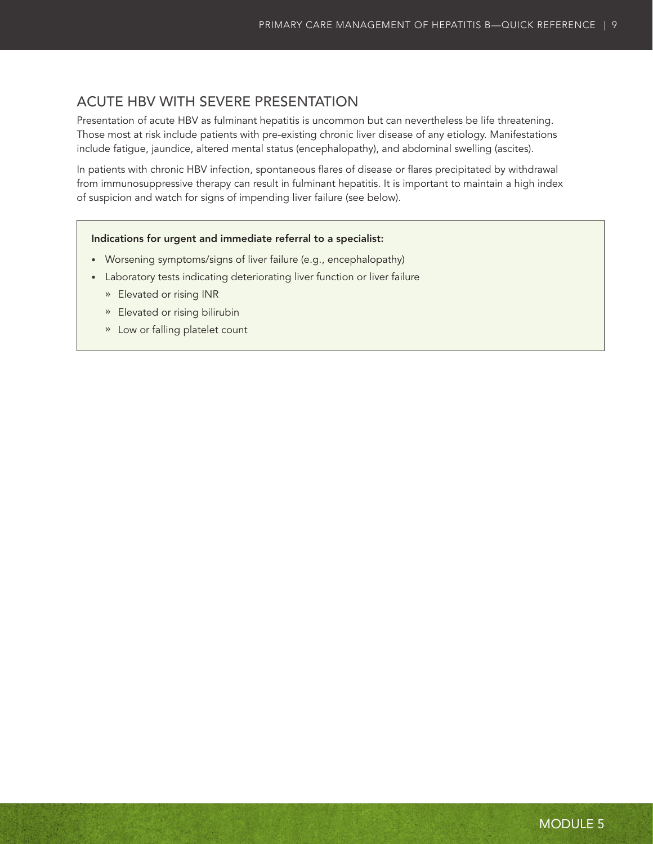### <span id="page-16-0"></span>ACUTE HBV WITH SEVERE PRESENTATION

Presentation of acute HBV as fulminant hepatitis is uncommon but can nevertheless be life threatening. Those most at risk include patients with pre-existing chronic liver disease of any etiology. Manifestations include fatigue, jaundice, altered mental status (encephalopathy), and abdominal swelling (ascites).

In patients with chronic HBV infection, spontaneous flares of disease or flares precipitated by withdrawal from immunosuppressive therapy can result in fulminant hepatitis. It is important to maintain a high index of suspicion and watch for signs of impending liver failure (see below).

#### Indications for urgent and immediate referral to a specialist:

- Worsening symptoms/signs of liver failure (e.g., encephalopathy)
- Laboratory tests indicating deteriorating liver function or liver failure
	- **»** Elevated or rising INR
	- **»** Elevated or rising bilirubin
	- **»** Low or falling platelet count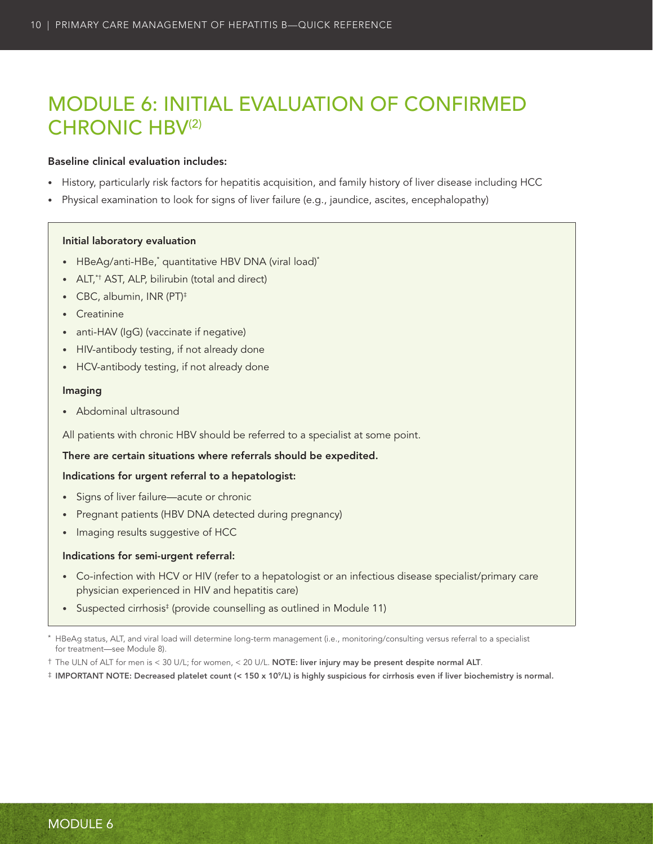# <span id="page-17-0"></span>MODULE 6: INITIAL EVALUATION OF CONFIRMED CHRONIC HBV(2)

#### Baseline clinical evaluation includes:

- • History, particularly risk factors for hepatitis acquisition, and family history of liver disease including HCC
- Physical examination to look for signs of liver failure (e.g., jaundice, ascites, encephalopathy)

#### Initial laboratory evaluation

- HBeAg/anti-HBe,\* quantitative HBV DNA (viral load)\*
- ALT,\*† AST, ALP, bilirubin (total and direct)
- CBC, albumin, INR (PT)<sup>‡</sup>
- • Creatinine
- anti-HAV (IgG) (vaccinate if negative)
- HIV-antibody testing, if not already done
- HCV-antibody testing, if not already done

#### Imaging

• Abdominal ultrasound

All patients with chronic HBV should be referred to a specialist at some point.

There are certain situations where referrals should be expedited.

#### Indications for urgent referral to a hepatologist:

- Signs of liver failure—acute or chronic
- Pregnant patients (HBV DNA detected during pregnancy)
- Imaging results suggestive of HCC

### Indications for semi-urgent referral:

- • Co-infection with HCV or HIV (refer to a hepatologist or an infectious disease specialist/primary care physician experienced in HIV and hepatitis care)
- Suspected cirrhosis<sup>‡</sup> (provide counselling as outlined in Module 11)

HBeAg status, ALT, and viral load will determine long-term management (i.e., monitoring/consulting versus referral to a specialist for treatment—see Module 8).

<sup>†</sup> The ULN of ALT for men is < 30 U/L; for women, < 20 U/L. NOTE: liver injury may be present despite normal ALT.

<sup>‡</sup> IMPORTANT NOTE: Decreased platelet count (< 150 x 109/L) is highly suspicious for cirrhosis even if liver biochemistry is normal.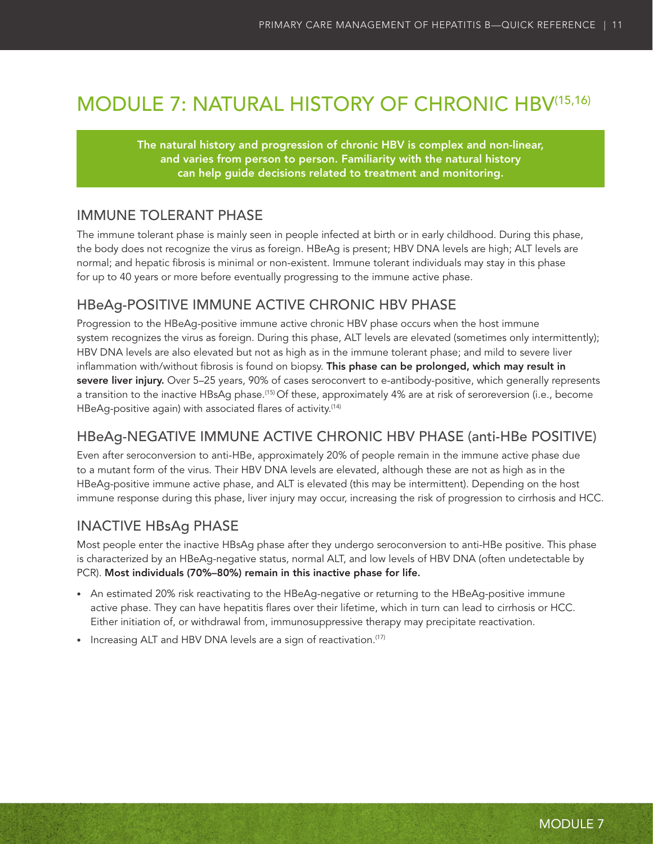# <span id="page-18-0"></span>MODULE 7: NATURAL HISTORY OF CHRONIC HBV(15,16)

The natural history and progression of chronic HBV is complex and non-linear, and varies from person to person. Familiarity with the natural history can help guide decisions related to treatment and monitoring.

### IMMUNE TOLERANT PHASE

The immune tolerant phase is mainly seen in people infected at birth or in early childhood. During this phase, the body does not recognize the virus as foreign. HBeAg is present; HBV DNA levels are high; ALT levels are normal; and hepatic fibrosis is minimal or non-existent. Immune tolerant individuals may stay in this phase for up to 40 years or more before eventually progressing to the immune active phase.

### HBeAg-POSITIVE IMMUNE ACTIVE CHRONIC HBV PHASE

Progression to the HBeAg-positive immune active chronic HBV phase occurs when the host immune system recognizes the virus as foreign. During this phase, ALT levels are elevated (sometimes only intermittently); HBV DNA levels are also elevated but not as high as in the immune tolerant phase; and mild to severe liver inflammation with/without fibrosis is found on biopsy. This phase can be prolonged, which may result in severe liver injury. Over 5–25 years, 90% of cases seroconvert to e-antibody-positive, which generally represents a transition to the inactive HBsAg phase.(15) Of these, approximately 4% are at risk of seroreversion (i.e., become HBeAg-positive again) with associated flares of activity.<sup>(14)</sup>

### HBeAg-NEGATIVE IMMUNE ACTIVE CHRONIC HBV PHASE (anti-HBe POSITIVE)

Even after seroconversion to anti-HBe, approximately 20% of people remain in the immune active phase due to a mutant form of the virus. Their HBV DNA levels are elevated, although these are not as high as in the HBeAg-positive immune active phase, and ALT is elevated (this may be intermittent). Depending on the host immune response during this phase, liver injury may occur, increasing the risk of progression to cirrhosis and HCC.

### INACTIVE HBsAg PHASE

Most people enter the inactive HBsAg phase after they undergo seroconversion to anti-HBe positive. This phase is characterized by an HBeAg-negative status, normal ALT, and low levels of HBV DNA (often undetectable by PCR). Most individuals (70%–80%) remain in this inactive phase for life.

- • An estimated 20% risk reactivating to the HBeAg-negative or returning to the HBeAg-positive immune active phase. They can have hepatitis flares over their lifetime, which in turn can lead to cirrhosis or HCC. Either initiation of, or withdrawal from, immunosuppressive therapy may precipitate reactivation.
- Increasing ALT and HBV DNA levels are a sign of reactivation.<sup>(17)</sup>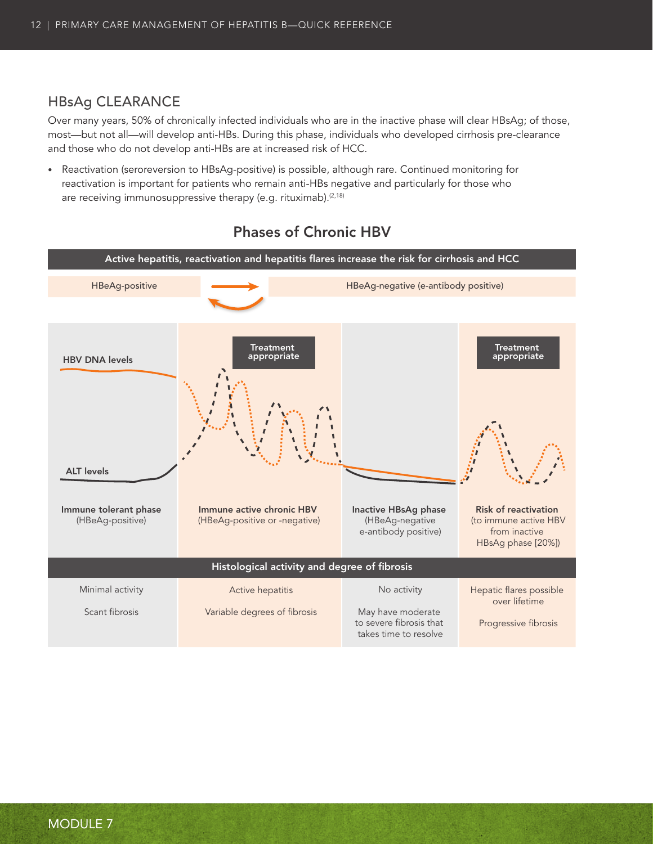### <span id="page-19-0"></span>HBsAg CLEARANCE

Over many years, 50% of chronically infected individuals who are in the inactive phase will clear HBsAg; of those, most—but not all—will develop anti-HBs. During this phase, individuals who developed cirrhosis pre-clearance and those who do not develop anti-HBs are at increased risk of HCC.

• Reactivation (seroreversion to HBsAg-positive) is possible, although rare. Continued monitoring for reactivation is important for patients who remain anti-HBs negative and particularly for those who are receiving immunosuppressive therapy (e.g. rituximab).<sup>(2,18)</sup>



### Phases of Chronic HBV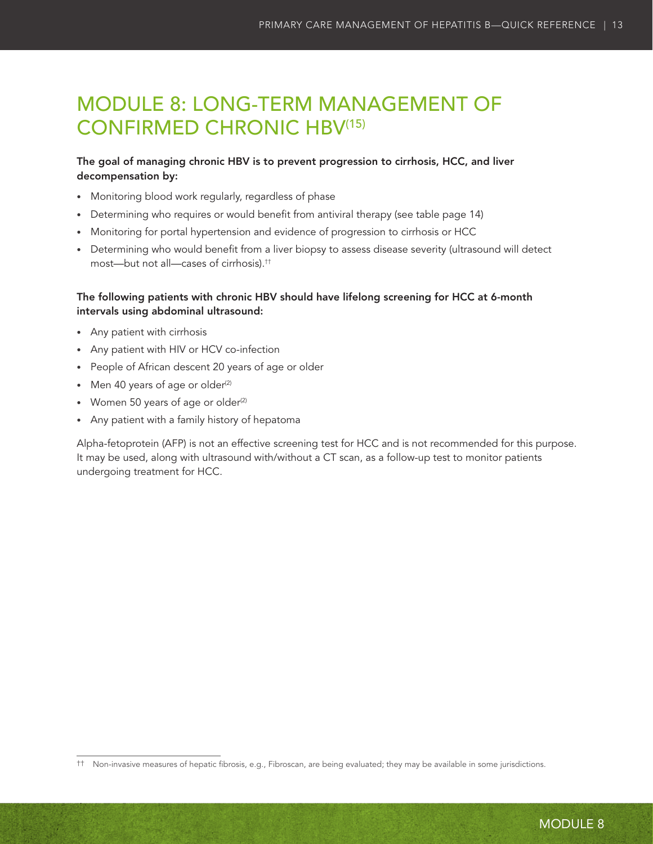# <span id="page-20-0"></span>MODULE 8: LONG-TERM MANAGEMENT OF CONFIRMED CHRONIC HBV(15)

### The goal of managing chronic HBV is to prevent progression to cirrhosis, HCC, and liver decompensation by:

- Monitoring blood work regularly, regardless of phase
- • Determining who requires or would benefit from antiviral therapy (see table page 14)
- Monitoring for portal hypertension and evidence of progression to cirrhosis or HCC
- • Determining who would benefit from a liver biopsy to assess disease severity (ultrasound will detect most—but not all—cases of cirrhosis).††

### The following patients with chronic HBV should have lifelong screening for HCC at 6-month intervals using abdominal ultrasound:

- • Any patient with cirrhosis
- Any patient with HIV or HCV co-infection
- • People of African descent 20 years of age or older
- Men 40 years of age or older $(2)$
- Women 50 years of age or older $(2)$
- • Any patient with a family history of hepatoma

Alpha-fetoprotein (AFP) is not an effective screening test for HCC and is not recommended for this purpose. It may be used, along with ultrasound with/without a CT scan, as a follow-up test to monitor patients undergoing treatment for HCC.

<sup>††</sup> Non-invasive measures of hepatic fibrosis, e.g., Fibroscan, are being evaluated; they may be available in some jurisdictions.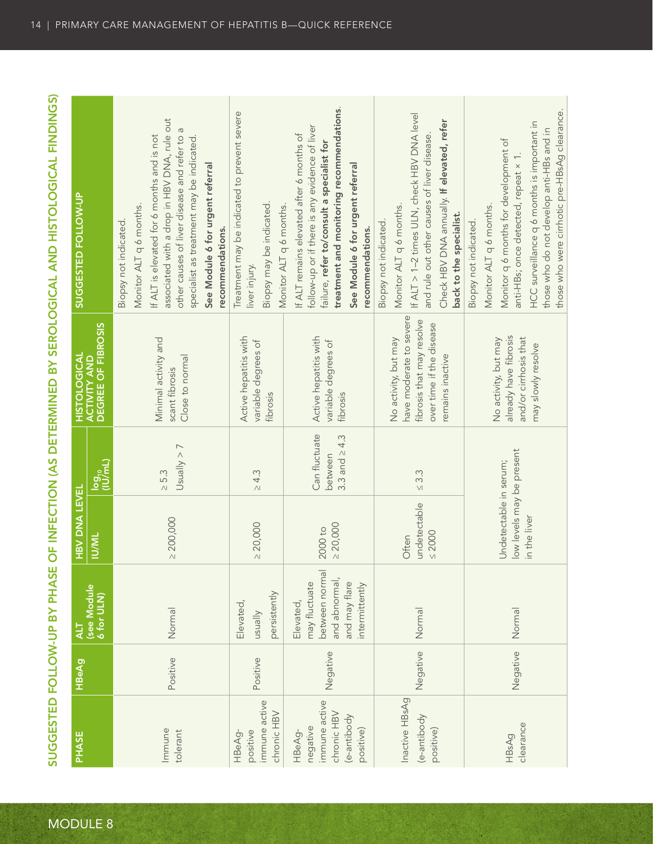| <b>PHASE</b>                                                                   | <b>HBeAg</b> | (see Module<br>6 for ULN)<br>11A                                                                 | <b>HBV DNA LEVEL</b><br><b>IN/ML</b>                                | log <sub>10</sub><br>(IU/mL)                  | ACTIVITY AND<br>DEGREE OF FIBROSIS<br>HISTOLOGICAL                                                                           | SUGGESTED FOLLOW-UP                                                                                                                                                                                                                                                                             |
|--------------------------------------------------------------------------------|--------------|--------------------------------------------------------------------------------------------------|---------------------------------------------------------------------|-----------------------------------------------|------------------------------------------------------------------------------------------------------------------------------|-------------------------------------------------------------------------------------------------------------------------------------------------------------------------------------------------------------------------------------------------------------------------------------------------|
| Immune<br>tolerant                                                             | Positive     | Normal                                                                                           | $\geq 200,000$                                                      | Usually > 7<br>$\geq 5.3$                     | Minimal activity and<br>Close to normal<br>scant fibrosis                                                                    | associated with a drop in HBV DNA, rule out<br>If ALT is elevated for 6 months and is not<br>other causes of liver disease and refer to<br>specialist as treatment may be indicated<br>See Module 6 for urgent referral<br>Monitor ALT q 6 months.<br>Biopsy not indicated.<br>recommendations. |
| immune active<br>chronic HBV<br>positive<br>HBeAg-                             | Positive     | persistently<br>Elevated,<br>vllensu                                                             | $\geq 20,000$                                                       | $\geq 4.3$                                    | Active hepatitis with<br>variable degrees of<br>fibrosis                                                                     | Treatment may be indicated to prevent severe<br>Biopsy may be indicated.<br>Monitor ALT q 6 months.<br>liver injury.                                                                                                                                                                            |
| immune active<br>chronic HBV<br>(e-antibody<br>negative<br>positive)<br>HBeAg- | Negative     | between normal<br>and abnormal,<br>may fluctuate<br>and may flare<br>intermittently<br>Elevated, | $\geq 20,000$<br>$2000$ to                                          | Can fluctuate<br>3.3 and $\ge$ 4.3<br>between | Active hepatitis with<br>variable degrees of<br>fibrosis                                                                     | treatment and monitoring recommendations.<br>follow-up or if there is any evidence of liver<br>If ALT remains elevated after 6 months of<br>failure, refer to/consult a specialist for<br>See Module 6 for urgent referral<br>recommendations.                                                  |
| Inactive HBsAg<br>(e-antibody<br>positive)                                     | Negative     | Normal                                                                                           | undetectable<br>$\leq 2000$<br>Often                                | $\leq 3.3$                                    | have moderate to severe<br>fibrosis that may resolve<br>over time if the disease<br>No activity, but may<br>remains inactive | If ALT > 1-2 times ULN, check HBV DNA level<br>Check HBV DNA annually. If elevated, refer<br>and rule out other causes of liver disease<br>Monitor ALT q 6 months.<br>back to the specialist.<br>Biopsy not indicated.                                                                          |
| clearance<br>HBsAg                                                             | Negative     | Normal                                                                                           | low levels may be present<br>Undetectable in serum;<br>in the liver |                                               | already have fibrosis<br>and/or cirrhosis that<br>No activity, but may<br>may slowly resolve                                 | those who were cirrhotic pre-HBsAg clearance.<br>HCC surveillance q 6 months is important in<br>those who do not develop anti-HBs and in<br>Monitor q 6 months for development of<br>anti-HBs; once detected, repeat × 1.<br>Monitor ALT q 6 months.<br>Biopsy not indicated.                   |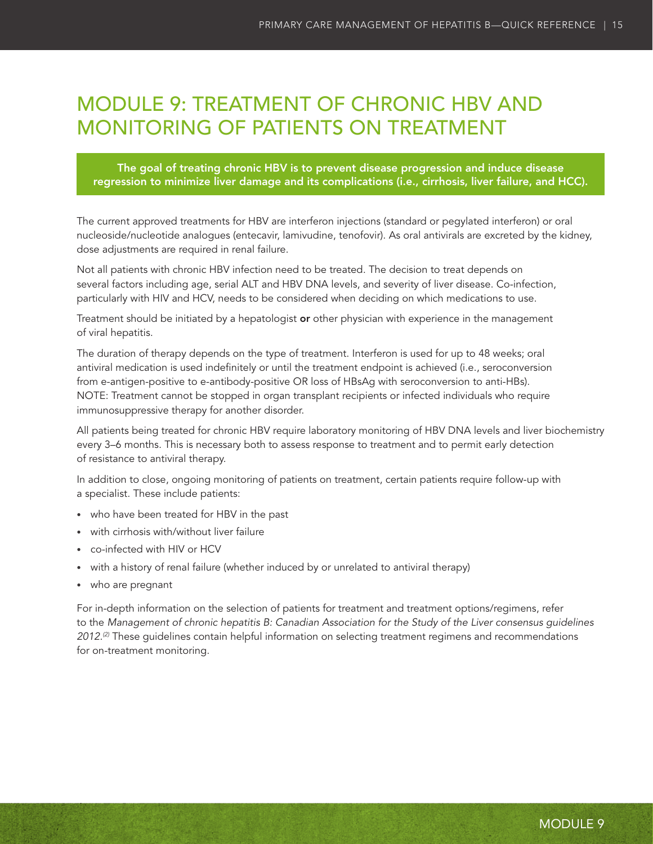# <span id="page-22-0"></span>MODULE 9: TREATMENT OF CHRONIC HBV AND MONITORING OF PATIENTS ON TREATMENT

The goal of treating chronic HBV is to prevent disease progression and induce disease regression to minimize liver damage and its complications (i.e., cirrhosis, liver failure, and HCC).

The current approved treatments for HBV are interferon injections (standard or pegylated interferon) or oral nucleoside/nucleotide analogues (entecavir, lamivudine, tenofovir). As oral antivirals are excreted by the kidney, dose adjustments are required in renal failure.

Not all patients with chronic HBV infection need to be treated. The decision to treat depends on several factors including age, serial ALT and HBV DNA levels, and severity of liver disease. Co-infection, particularly with HIV and HCV, needs to be considered when deciding on which medications to use.

Treatment should be initiated by a hepatologist or other physician with experience in the management of viral hepatitis.

The duration of therapy depends on the type of treatment. Interferon is used for up to 48 weeks; oral antiviral medication is used indefinitely or until the treatment endpoint is achieved (i.e., seroconversion from e-antigen-positive to e-antibody-positive OR loss of HBsAg with seroconversion to anti-HBs). NOTE: Treatment cannot be stopped in organ transplant recipients or infected individuals who require immunosuppressive therapy for another disorder.

All patients being treated for chronic HBV require laboratory monitoring of HBV DNA levels and liver biochemistry every 3–6 months. This is necessary both to assess response to treatment and to permit early detection of resistance to antiviral therapy.

In addition to close, ongoing monitoring of patients on treatment, certain patients require follow-up with a specialist. These include patients:

- who have been treated for HBV in the past
- with cirrhosis with/without liver failure
- • co-infected with HIV or HCV
- • with a history of renal failure (whether induced by or unrelated to antiviral therapy)
- who are pregnant

For in-depth information on the selection of patients for treatment and treatment options/regimens, refer to the *Management of chronic hepatitis B: Canadian Association for the Study of the Liver consensus guidelines 2012.(2)* These guidelines contain helpful information on selecting treatment regimens and recommendations for on-treatment monitoring.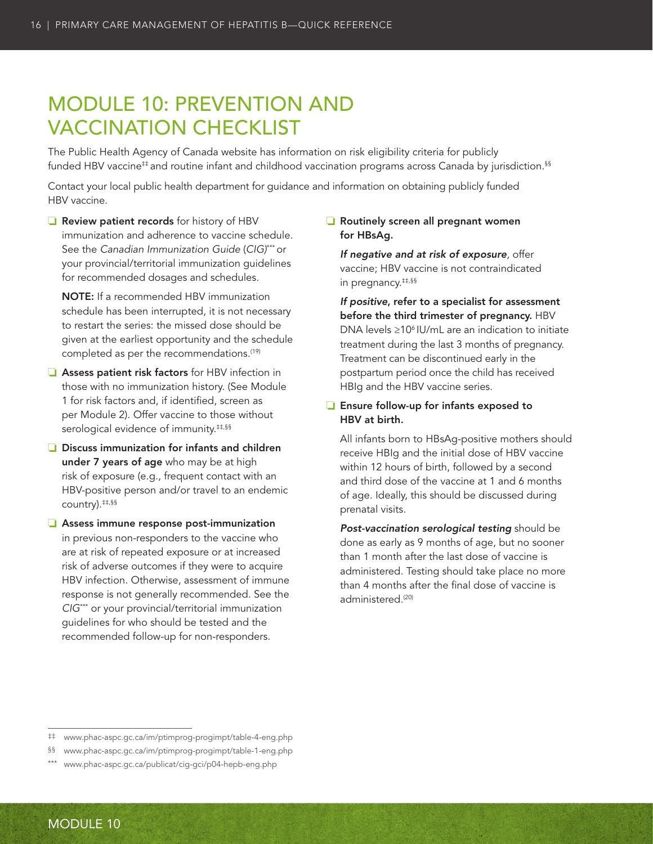# <span id="page-23-0"></span>MODULE 10: PREVENTION AND VACCINATION CHECKLIST

The Public Health Agency of Canada website has information on risk eligibility criteria for publicly funded HBV vaccine<sup>‡‡</sup> and routine infant and childhood vaccination programs across Canada by jurisdiction.<sup>§§</sup>

Contact your local public health department for guidance and information on obtaining publicly funded HBV vaccine.

❏ Review patient records for history of HBV immunization and adherence to vaccine schedule. See the *Canadian Immunization Guide* (*CIG)*\*\*\* or your provincial/territorial immunization guidelines for recommended dosages and schedules.

NOTE: If a recommended HBV immunization schedule has been interrupted, it is not necessary to restart the series: the missed dose should be given at the earliest opportunity and the schedule completed as per the recommendations.<sup>(19)</sup>

- ❏ Assess patient risk factors for HBV infection in those with no immunization history. (See Module 1 for risk factors and, if identified, screen as per Module 2). Offer vaccine to those without serological evidence of immunity.<sup>##,§§</sup>
- ❏ Discuss immunization for infants and children under 7 years of age who may be at high risk of exposure (e.g., frequent contact with an HBV-positive person and/or travel to an endemic country).‡‡,§§
- ❏ Assess immune response post-immunization in previous non-responders to the vaccine who are at risk of repeated exposure or at increased risk of adverse outcomes if they were to acquire HBV infection. Otherwise, assessment of immune response is not generally recommended. See the *CIG*\*\*\* or your provincial/territorial immunization guidelines for who should be tested and the recommended follow-up for non-responders.

### ❏ Routinely screen all pregnant women for HBsAg.

*If negative and at risk of exposure,* offer vaccine; HBV vaccine is not contraindicated in pregnancy.‡‡,§§

*If positive*, refer to a specialist for assessment before the third trimester of pregnancy. HBV DNA levels  $\geq$ 10<sup>6</sup> IU/mL are an indication to initiate treatment during the last 3 months of pregnancy. Treatment can be discontinued early in the postpartum period once the child has received HBIg and the HBV vaccine series.

### ❏ Ensure follow-up for infants exposed to HBV at birth.

All infants born to HBsAg-positive mothers should receive HBIg and the initial dose of HBV vaccine within 12 hours of birth, followed by a second and third dose of the vaccine at 1 and 6 months of age. Ideally, this should be discussed during prenatal visits.

*Post-vaccination serological testing* should be done as early as 9 months of age, but no sooner than 1 month after the last dose of vaccine is administered. Testing should take place no more than 4 months after the final dose of vaccine is administered.<sup>(20)</sup>

<sup>‡‡</sup> [www.phac-aspc.gc.ca/im/ptimprog-progimpt/table-4-eng.php](http://www.phac-aspc.gc.ca/im/ptimprog-progimpt/table-4-eng.php)

<sup>§§</sup> [www.phac-aspc.gc.ca/im/ptimprog-progimpt/table-1-eng.php](http://www.phac-aspc.gc.ca/im/ptimprog-progimpt/table-1-eng.php)

[www.phac-aspc.gc.ca/publicat/cig-gci/p04-hepb-eng.php](http://www.phac-aspc.gc.ca/publicat/cig-gci/p04-hepb-eng.php)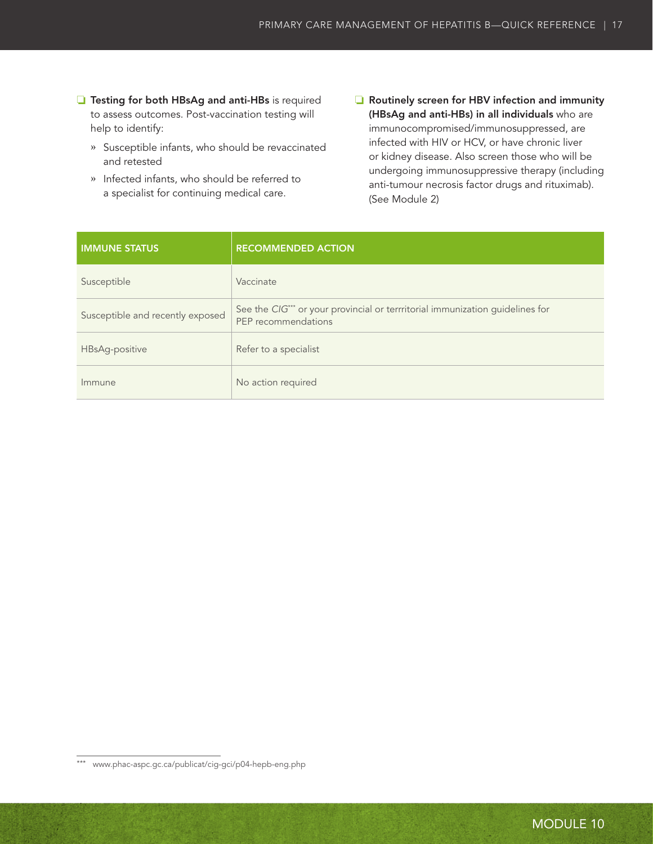- ❏ Testing for both HBsAg and anti-HBs is required to assess outcomes. Post-vaccination testing will help to identify:
	- **»** Susceptible infants, who should be revaccinated and retested
	- **»** Infected infants, who should be referred to a specialist for continuing medical care.
- ❏ Routinely screen for HBV infection and immunity (HBsAg and anti-HBs) in all individuals who are immunocompromised/immunosuppressed, are infected with HIV or HCV, or have chronic liver or kidney disease. Also screen those who will be undergoing immunosuppressive therapy (including anti-tumour necrosis factor drugs and rituximab). (See Module 2)

| <b>IMMUNE STATUS</b>             | <b>RECOMMENDED ACTION</b>                                                                                        |
|----------------------------------|------------------------------------------------------------------------------------------------------------------|
| Susceptible                      | Vaccinate                                                                                                        |
| Susceptible and recently exposed | See the CIG <sup>***</sup> or your provincial or terrritorial immunization guidelines for<br>PEP recommendations |
| HBsAg-positive                   | Refer to a specialist                                                                                            |
| Immune                           | No action required                                                                                               |

<sup>\*\*\*</sup> [www.phac-aspc.gc.ca/publicat/cig-gci/p04-hepb-eng.php](http://www.phac-aspc.gc.ca/publicat/cig-gci/p04-hepb-eng.php)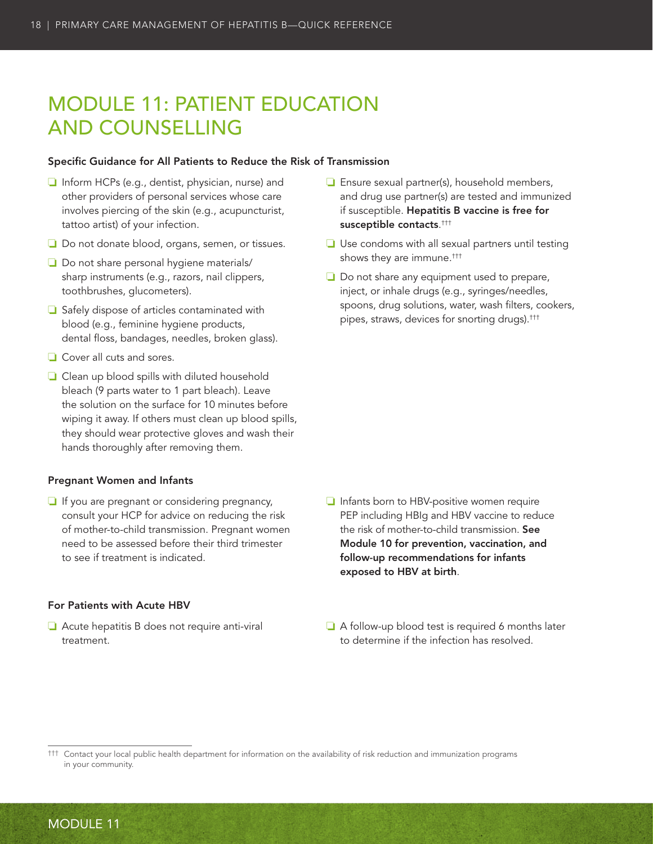# <span id="page-25-0"></span>MODULE 11: PATIENT EDUCATION AND COUNSELLING

#### Specific Guidance for All Patients to Reduce the Risk of Transmission

- ❏ Inform HCPs (e.g., dentist, physician, nurse) and other providers of personal services whose care involves piercing of the skin (e.g., acupuncturist, tattoo artist) of your infection.
- ❏ Do not donate blood, organs, semen, or tissues.
- ❏ Do not share personal hygiene materials/ sharp instruments (e.g., razors, nail clippers, toothbrushes, glucometers).
- ❏ Safely dispose of articles contaminated with blood (e.g., feminine hygiene products, dental floss, bandages, needles, broken glass).
- ❏ Cover all cuts and sores.
- ❏ Clean up blood spills with diluted household bleach (9 parts water to 1 part bleach). Leave the solution on the surface for 10 minutes before wiping it away. If others must clean up blood spills, they should wear protective gloves and wash their hands thoroughly after removing them.

#### Pregnant Women and Infants

❏ If you are pregnant or considering pregnancy, consult your HCP for advice on reducing the risk of mother-to-child transmission. Pregnant women need to be assessed before their third trimester to see if treatment is indicated.

#### For Patients with Acute HBV

❏ Acute hepatitis B does not require anti-viral treatment.

- ❏ Ensure sexual partner(s), household members, and drug use partner(s) are tested and immunized if susceptible. Hepatitis B vaccine is free for susceptible contacts. †††
- ❏ Use condoms with all sexual partners until testing shows they are immune.†††
- ❏ Do not share any equipment used to prepare, inject, or inhale drugs (e.g., syringes/needles, spoons, drug solutions, water, wash filters, cookers, pipes, straws, devices for snorting drugs).†††

- ❏ Infants born to HBV-positive women require PEP including HBIg and HBV vaccine to reduce the risk of mother-to-child transmission. See Module 10 for prevention, vaccination, and follow-up recommendations for infants exposed to HBV at birth.
- ❏ A follow-up blood test is required 6 months later to determine if the infection has resolved.

††† Contact your local public health department for information on the availability of risk reduction and immunization programs in your community.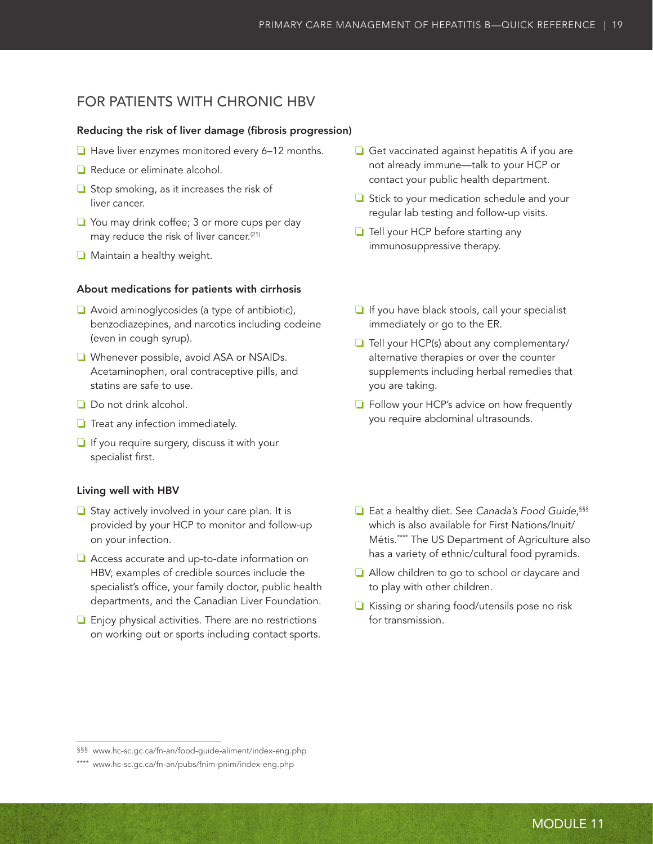### FOR PATIENTS WITH CHRONIC HBV

### Reducing the risk of liver damage (fibrosis progression)

- ❏ Have liver enzymes monitored every 6–12 months.
- ❏ Reduce or eliminate alcohol.
- ❏ Stop smoking, as it increases the risk of liver cancer.
- ❏ You may drink coffee; 3 or more cups per day may reduce the risk of liver cancer.<sup>(21)</sup>
- ❏ Maintain a healthy weight.

#### About medications for patients with cirrhosis

- ❏ Avoid aminoglycosides (a type of antibiotic), benzodiazepines, and narcotics including codeine (even in cough syrup).
- ❏ Whenever possible, avoid ASA or NSAIDs. Acetaminophen, oral contraceptive pills, and statins are safe to use.
- ❏ Do not drink alcohol.
- ❏ Treat any infection immediately.
- ❏ If you require surgery, discuss it with your specialist first.

#### Living well with HBV

- ❏ Stay actively involved in your care plan. It is provided by your HCP to monitor and follow-up on your infection.
- ❏ Access accurate and up-to-date information on HBV; examples of credible sources include the specialist's office, your family doctor, public health departments, and the Canadian Liver Foundation.
- ❏ Enjoy physical activities. There are no restrictions on working out or sports including contact sports.
- ❏ Get vaccinated against hepatitis A if you are not already immune—talk to your HCP or contact your public health department.
- ❏ Stick to your medication schedule and your regular lab testing and follow-up visits.
- ❏ Tell your HCP before starting any immunosuppressive therapy.
- ❏ If you have black stools, call your specialist immediately or go to the ER.
- ❏ Tell your HCP(s) about any complementary/ alternative therapies or over the counter supplements including herbal remedies that you are taking.
- ❏ Follow your HCP's advice on how frequently you require abdominal ultrasounds.
- ❏ Eat a healthy diet. See *Canada's Food Guide,*§§§ which is also available for First Nations/Inuit/ Métis.\*\*\*\* The US Department of Agriculture also has a variety of ethnic/cultural food pyramids.
- ❏ Allow children to go to school or daycare and to play with other children.
- ❏ Kissing or sharing food/utensils pose no risk for transmission.

<sup>§§§</sup> [www.hc-sc.gc.ca/fn-an/food-guide-aliment/index-eng.php](http://www.hc-sc.gc.ca/fn-an/food-guide-aliment/index-eng.php)

<sup>\*\*\*\*</sup> [www.hc-sc.gc.ca/fn-an/pubs/fnim-pnim/index-eng.php](http://www.hc-sc.gc.ca/fn-an/pubs/fnim-pnim/index-eng.php)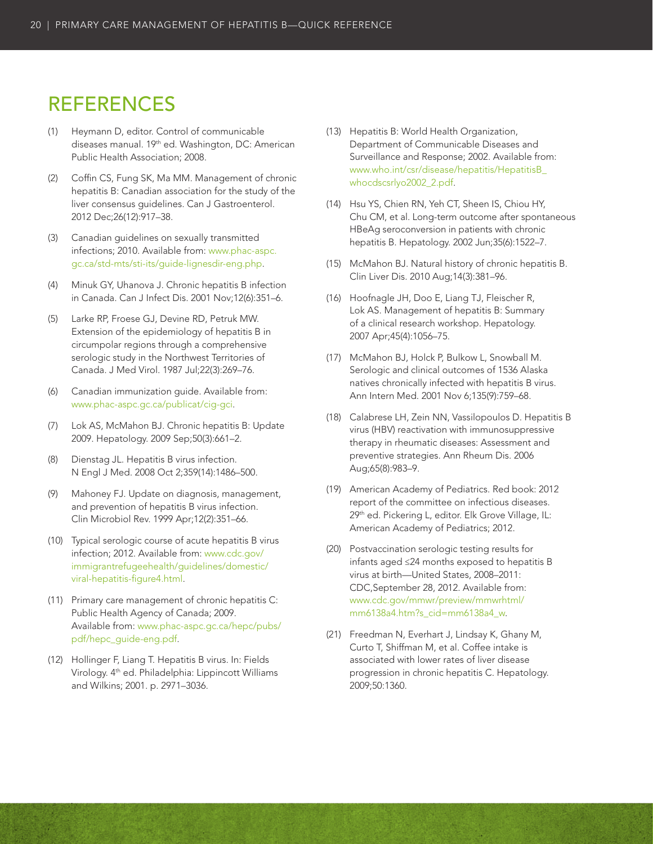### <span id="page-27-0"></span>REFERENCES

- (1) Heymann D, editor. Control of communicable diseases manual. 19th ed. Washington, DC: American Public Health Association; 2008.
- (2) Coffin CS, Fung SK, Ma MM. Management of chronic hepatitis B: Canadian association for the study of the liver consensus guidelines. Can J Gastroenterol. 2012 Dec;26(12):917–38.
- (3) Canadian guidelines on sexually transmitted infections; 2010. Available from: [www.phac-aspc.](http://www.phac-aspc.gc.ca/std-mts/sti-its/guide-lignesdir-eng.php) [gc.ca/std-mts/sti-its/guide-lignesdir-eng.php.](http://www.phac-aspc.gc.ca/std-mts/sti-its/guide-lignesdir-eng.php)
- (4) Minuk GY, Uhanova J. Chronic hepatitis B infection in Canada. Can J Infect Dis. 2001 Nov;12(6):351–6.
- (5) Larke RP, Froese GJ, Devine RD, Petruk MW. Extension of the epidemiology of hepatitis B in circumpolar regions through a comprehensive serologic study in the Northwest Territories of Canada. J Med Virol. 1987 Jul;22(3):269–76.
- (6) Canadian immunization guide. Available from: [www.phac-aspc.gc.ca/publicat/cig-gci](http://www.phac-aspc.gc.ca/publicat/cig-gci).
- (7) Lok AS, McMahon BJ. Chronic hepatitis B: Update 2009. Hepatology. 2009 Sep;50(3):661–2.
- (8) Dienstag JL. Hepatitis B virus infection. N Engl J Med. 2008 Oct 2;359(14):1486–500.
- (9) Mahoney FJ. Update on diagnosis, management, and prevention of hepatitis B virus infection. Clin Microbiol Rev. 1999 Apr;12(2):351–66.
- (10) Typical serologic course of acute hepatitis B virus infection; 2012. Available from: [www.cdc.gov/](http://www.cdc.gov/immigrantrefugeehealth/guidelines/domestic/viral-hepatitis-figure4.html) [immigrantrefugeehealth/guidelines/domestic/](http://www.cdc.gov/immigrantrefugeehealth/guidelines/domestic/viral-hepatitis-figure4.html) [viral-hepatitis-figure4.html](http://www.cdc.gov/immigrantrefugeehealth/guidelines/domestic/viral-hepatitis-figure4.html).
- (11) Primary care management of chronic hepatitis C: Public Health Agency of Canada; 2009. Available from: [www.phac-aspc.gc.ca/hepc/pubs/](http://www.phac-aspc.gc.ca/hepc/pubs/pdf/hepc_guide-eng.pdf) [pdf/hepc\\_guide-eng.pdf](http://www.phac-aspc.gc.ca/hepc/pubs/pdf/hepc_guide-eng.pdf).
- (12) Hollinger F, Liang T. Hepatitis B virus. In: Fields Virology. 4<sup>th</sup> ed. Philadelphia: Lippincott Williams and Wilkins; 2001. p. 2971–3036.
- (13) Hepatitis B: World Health Organization, Department of Communicable Diseases and Surveillance and Response; 2002. Available from: [www.who.int/csr/disease/hepatitis/HepatitisB\\_](http://www.who.int/csr/disease/hepatitis/HepatitisB_whocdscsrlyo2002_2.pdf) [whocdscsrlyo2002\\_2.pdf](http://www.who.int/csr/disease/hepatitis/HepatitisB_whocdscsrlyo2002_2.pdf).
- (14) Hsu YS, Chien RN, Yeh CT, Sheen IS, Chiou HY, Chu CM, et al. Long-term outcome after spontaneous HBeAg seroconversion in patients with chronic hepatitis B. Hepatology. 2002 Jun;35(6):1522–7.
- (15) McMahon BJ. Natural history of chronic hepatitis B. Clin Liver Dis. 2010 Aug;14(3):381–96.
- (16) Hoofnagle JH, Doo E, Liang TJ, Fleischer R, Lok AS. Management of hepatitis B: Summary of a clinical research workshop. Hepatology. 2007 Apr;45(4):1056–75.
- (17) McMahon BJ, Holck P, Bulkow L, Snowball M. Serologic and clinical outcomes of 1536 Alaska natives chronically infected with hepatitis B virus. Ann Intern Med. 2001 Nov 6;135(9):759–68.
- (18) Calabrese LH, Zein NN, Vassilopoulos D. Hepatitis B virus (HBV) reactivation with immunosuppressive therapy in rheumatic diseases: Assessment and preventive strategies. Ann Rheum Dis. 2006 Aug;65(8):983–9.
- (19) American Academy of Pediatrics. Red book: 2012 report of the committee on infectious diseases. 29th ed. Pickering L, editor. Elk Grove Village, IL: American Academy of Pediatrics; 2012.
- (20) Postvaccination serologic testing results for infants aged ≤24 months exposed to hepatitis B virus at birth—United States, 2008–2011: CDC,September 28, 2012. Available from: [www.cdc.gov/mmwr/preview/mmwrhtml/](http://www.cdc.gov/mmwr/preview/mmwrhtml/ mm6138a4.htm?s_cid=mm6138a4_w) [mm6138a4.htm?s\\_cid=mm6138a4\\_w.](http://www.cdc.gov/mmwr/preview/mmwrhtml/ mm6138a4.htm?s_cid=mm6138a4_w)
- (21) Freedman N, Everhart J, Lindsay K, Ghany M, Curto T, Shiffman M, et al. Coffee intake is associated with lower rates of liver disease progression in chronic hepatitis C. Hepatology. 2009;50:1360.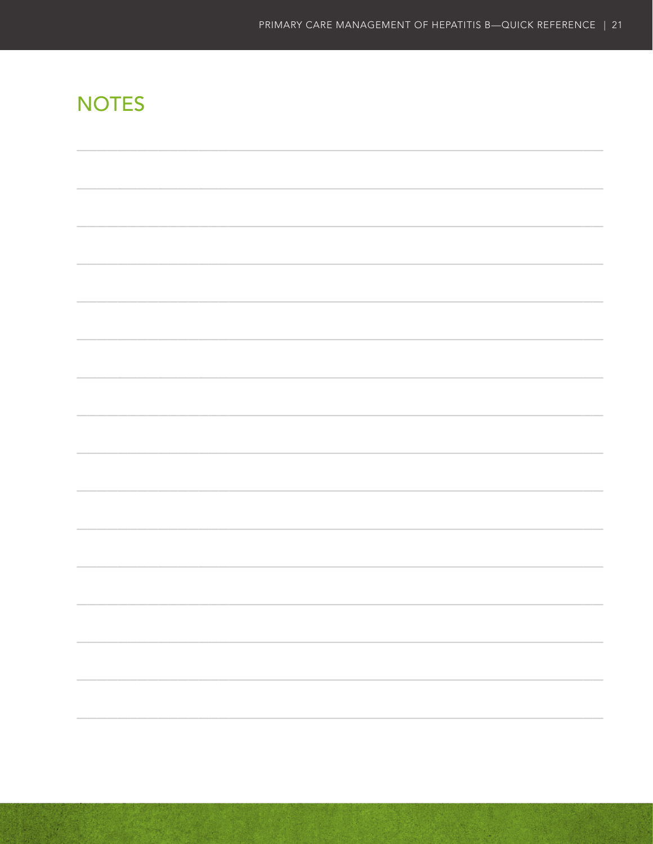# **NOTES**

| the control of the control of the control of the control of the control of the control of |  |
|-------------------------------------------------------------------------------------------|--|
|                                                                                           |  |
|                                                                                           |  |
|                                                                                           |  |
|                                                                                           |  |
|                                                                                           |  |
|                                                                                           |  |
|                                                                                           |  |
|                                                                                           |  |
|                                                                                           |  |
|                                                                                           |  |
|                                                                                           |  |